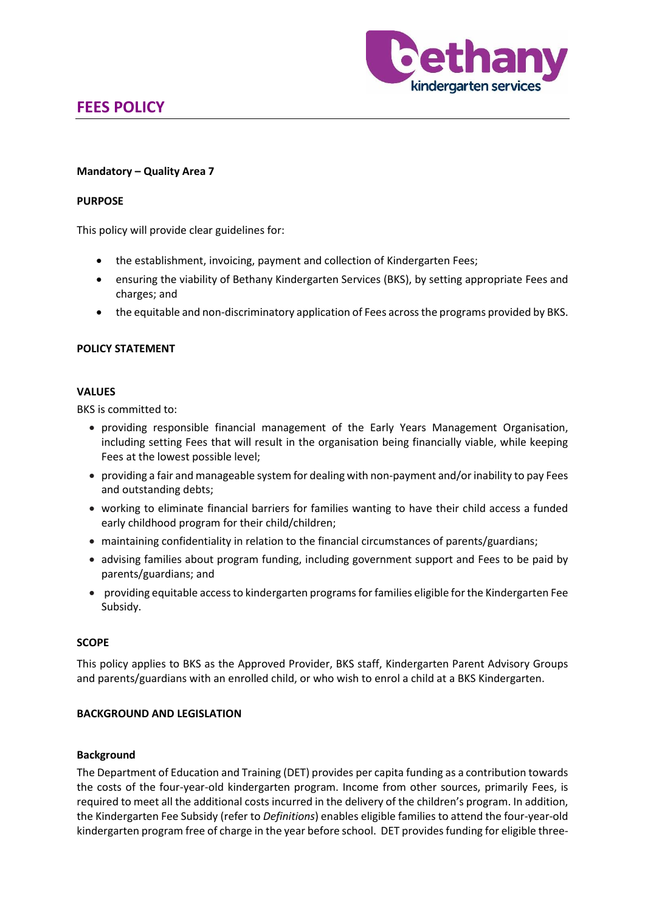

# **FEES POLICY**

#### **Mandatory – Quality Area 7**

#### **PURPOSE**

This policy will provide clear guidelines for:

- the establishment, invoicing, payment and collection of Kindergarten Fees;
- ensuring the viability of Bethany Kindergarten Services (BKS), by setting appropriate Fees and charges; and
- the equitable and non-discriminatory application of Fees across the programs provided by BKS.

#### **POLICY STATEMENT**

#### **VALUES**

BKS is committed to:

- providing responsible financial management of the Early Years Management Organisation, including setting Fees that will result in the organisation being financially viable, while keeping Fees at the lowest possible level;
- providing a fair and manageable system for dealing with non-payment and/or inability to pay Fees and outstanding debts;
- working to eliminate financial barriers for families wanting to have their child access a funded early childhood program for their child/children;
- maintaining confidentiality in relation to the financial circumstances of parents/guardians;
- advising families about program funding, including government support and Fees to be paid by parents/guardians; and
- providing equitable access to kindergarten programs for families eligible for the Kindergarten Fee Subsidy.

#### **SCOPE**

This policy applies to BKS as the Approved Provider, BKS staff, Kindergarten Parent Advisory Groups and parents/guardians with an enrolled child, or who wish to enrol a child at a BKS Kindergarten.

#### **BACKGROUND AND LEGISLATION**

#### **Background**

The Department of Education and Training (DET) provides per capita funding as a contribution towards the costs of the four-year-old kindergarten program. Income from other sources, primarily Fees, is required to meet all the additional costs incurred in the delivery of the children's program. In addition, the Kindergarten Fee Subsidy (refer to *Definitions*) enables eligible families to attend the four-year-old kindergarten program free of charge in the year before school. DET provides funding for eligible three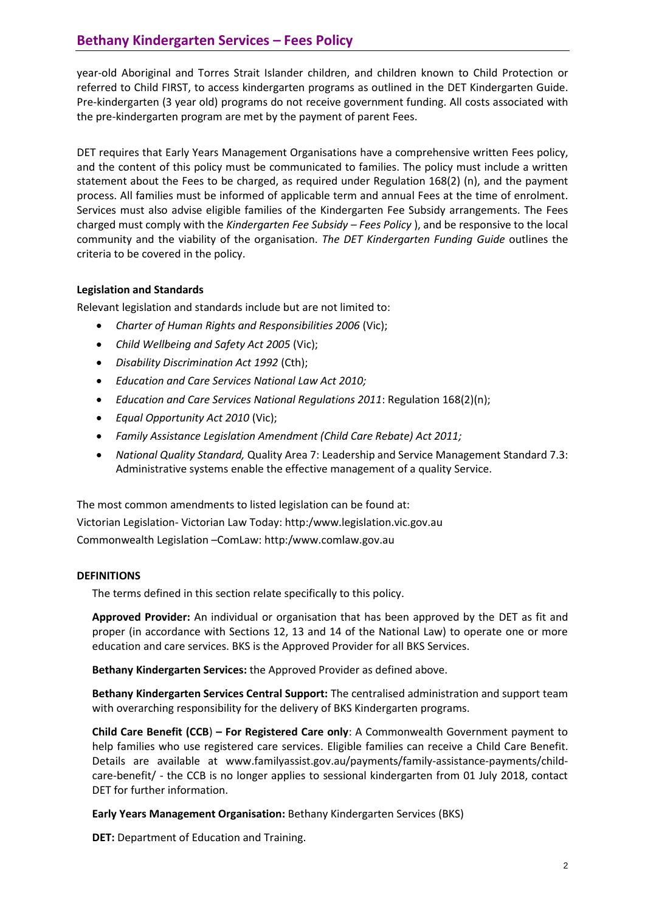year-old Aboriginal and Torres Strait Islander children, and children known to Child Protection or referred to Child FIRST, to access kindergarten programs as outlined in the DET Kindergarten Guide. Pre-kindergarten (3 year old) programs do not receive government funding. All costs associated with the pre-kindergarten program are met by the payment of parent Fees.

DET requires that Early Years Management Organisations have a comprehensive written Fees policy, and the content of this policy must be communicated to families. The policy must include a written statement about the Fees to be charged, as required under Regulation 168(2) (n), and the payment process. All families must be informed of applicable term and annual Fees at the time of enrolment. Services must also advise eligible families of the Kindergarten Fee Subsidy arrangements. The Fees charged must comply with the *Kindergarten Fee Subsidy – Fees Policy* ), and be responsive to the local community and the viability of the organisation. *The DET Kindergarten Funding Guide* outlines the criteria to be covered in the policy.

# **Legislation and Standards**

Relevant legislation and standards include but are not limited to:

- *Charter of Human Rights and Responsibilities 2006* (Vic);
- *Child Wellbeing and Safety Act 2005* (Vic);
- *Disability Discrimination Act 1992* (Cth);
- *Education and Care Services National Law Act 2010;*
- *Education and Care Services National Regulations 2011*: Regulation 168(2)(n);
- *Equal Opportunity Act 2010* (Vic);
- *Family Assistance Legislation Amendment (Child Care Rebate) Act 2011;*
- *National Quality Standard,* Quality Area 7: Leadership and Service Management Standard 7.3: Administrative systems enable the effective management of a quality Service.

The most common amendments to listed legislation can be found at: Victorian Legislation- Victorian Law Today: http:/www.legislation.vic.gov.au Commonwealth Legislation –ComLaw: http:/www.comlaw.gov.au

## **DEFINITIONS**

The terms defined in this section relate specifically to this policy.

**Approved Provider:** An individual or organisation that has been approved by the DET as fit and proper (in accordance with Sections 12, 13 and 14 of the National Law) to operate one or more education and care services. BKS is the Approved Provider for all BKS Services.

**Bethany Kindergarten Services:** the Approved Provider as defined above.

**Bethany Kindergarten Services Central Support:** The centralised administration and support team with overarching responsibility for the delivery of BKS Kindergarten programs.

**Child Care Benefit (CCB**) **– For Registered Care only**: A Commonwealth Government payment to help families who use registered care services. Eligible families can receive a Child Care Benefit. Details are available at [www.familyassist.gov.au/payments/family-assistance-payments/child](http://www.familyassist.gov.au/payments/family-assistance-payments/child-care-benefit/)[care-benefit/](http://www.familyassist.gov.au/payments/family-assistance-payments/child-care-benefit/) - the CCB is no longer applies to sessional kindergarten from 01 July 2018, contact DET for further information.

**Early Years Management Organisation:** Bethany Kindergarten Services (BKS)

**DET:** Department of Education and Training.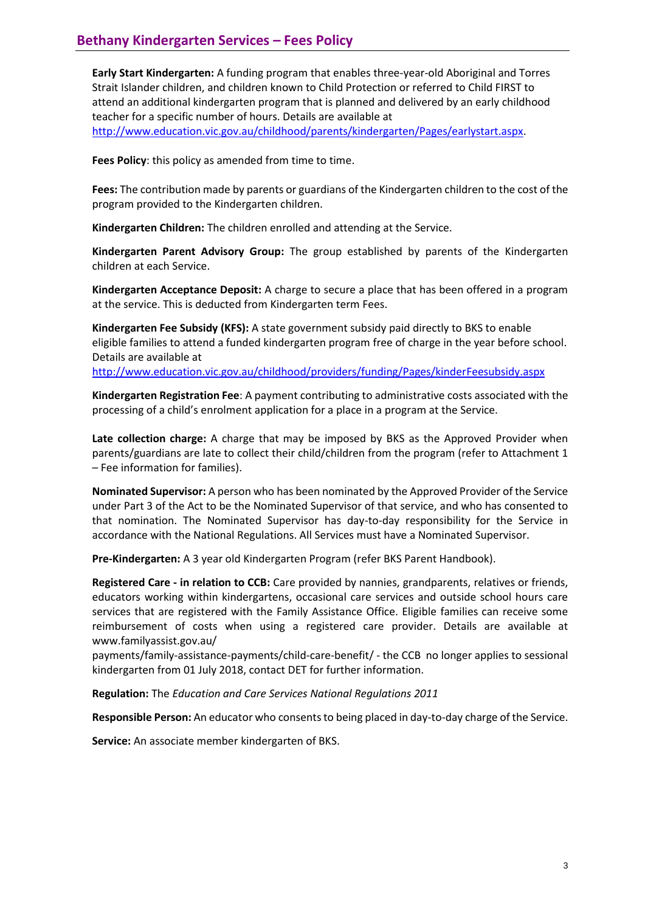**Early Start Kindergarten:** A funding program that enables three-year-old Aboriginal and Torres Strait Islander children, and children known to Child Protection or referred to Child FIRST to attend an additional kindergarten program that is planned and delivered by an early childhood teacher for a specific number of hours. Details are available at [http://www.education.vic.gov.au/childhood/parents/kindergarten/Pages/earlystart.aspx.](http://www.education.vic.gov.au/childhood/parents/kindergarten/Pages/earlystart.aspx)

**Fees Policy**: this policy as amended from time to time.

**Fees:** The contribution made by parents or guardians of the Kindergarten children to the cost of the program provided to the Kindergarten children.

**Kindergarten Children:** The children enrolled and attending at the Service.

**Kindergarten Parent Advisory Group:** The group established by parents of the Kindergarten children at each Service.

**Kindergarten Acceptance Deposit:** A charge to secure a place that has been offered in a program at the service. This is deducted from Kindergarten term Fees.

**Kindergarten Fee Subsidy (KFS):** A state government subsidy paid directly to BKS to enable eligible families to attend a funded kindergarten program free of charge in the year before school. Details are available at

[http://www.education.vic.gov.au/childhood/providers/funding/Pages/kinderFeesubsidy.aspx](http://www.education.vic.gov.au/childhood/providers/funding/Pages/kinderfeesubsidy.aspx)

**Kindergarten Registration Fee**: A payment contributing to administrative costs associated with the processing of a child's enrolment application for a place in a program at the Service.

**Late collection charge:** A charge that may be imposed by BKS as the Approved Provider when parents/guardians are late to collect their child/children from the program (refer to Attachment 1 – Fee information for families).

**Nominated Supervisor:** A person who has been nominated by the Approved Provider of the Service under Part 3 of the Act to be the Nominated Supervisor of that service, and who has consented to that nomination. The Nominated Supervisor has day-to-day responsibility for the Service in accordance with the National Regulations. All Services must have a Nominated Supervisor.

**Pre-Kindergarten:** A 3 year old Kindergarten Program (refer BKS Parent Handbook).

**Registered Care - in relation to CCB:** Care provided by nannies, grandparents, relatives or friends, educators working within kindergartens, occasional care services and outside school hours care services that are registered with the Family Assistance Office. Eligible families can receive some reimbursement of costs when using a registered care provider. Details are available at [www.familyassist.gov.au/](http://www.familyassist.gov.au/payments/family-assistance-payments/child-care-benefit/)

[payments/family-assistance-payments/child-care-benefit/](http://www.familyassist.gov.au/payments/family-assistance-payments/child-care-benefit/) - the CCB no longer applies to sessional kindergarten from 01 July 2018, contact DET for further information.

**Regulation:** The *Education and Care Services National Regulations 2011*

**Responsible Person:** An educator who consents to being placed in day-to-day charge of the Service.

**Service:** An associate member kindergarten of BKS.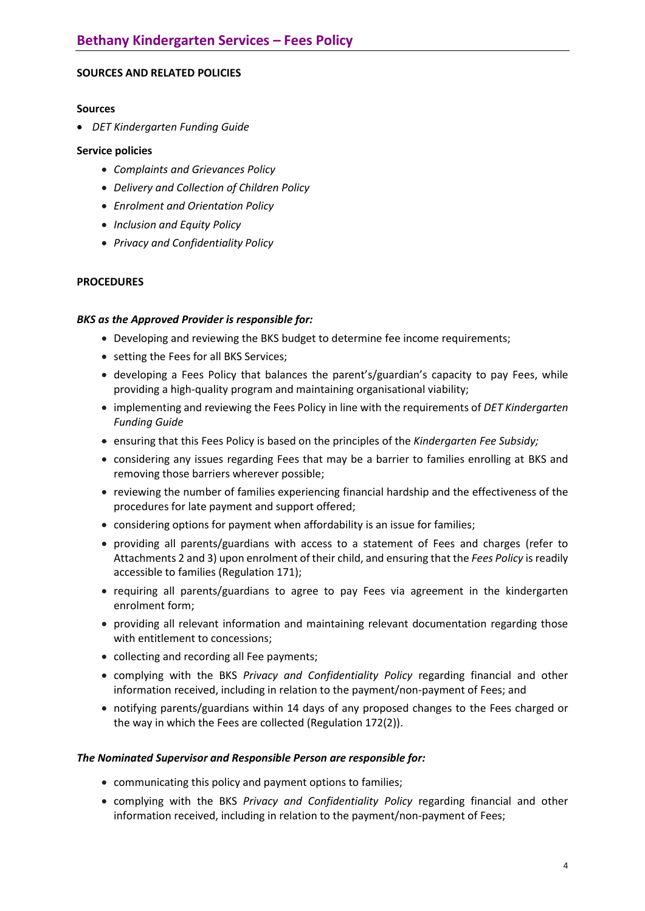## **SOURCES AND RELATED POLICIES**

#### **Sources**

*DET Kindergarten Funding Guide* 

## **Service policies**

- *Complaints and Grievances Policy*
- *Delivery and Collection of Children Policy*
- *Enrolment and Orientation Policy*
- *Inclusion and Equity Policy*
- *Privacy and Confidentiality Policy*

## **PROCEDURES**

## *BKS as the Approved Provider is responsible for:*

- Developing and reviewing the BKS budget to determine fee income requirements;
- setting the Fees for all BKS Services;
- developing a Fees Policy that balances the parent's/guardian's capacity to pay Fees, while providing a high-quality program and maintaining organisational viability;
- implementing and reviewing the Fees Policy in line with the requirements of *DET Kindergarten Funding Guide*
- ensuring that this Fees Policy is based on the principles of the *Kindergarten Fee Subsidy;*
- considering any issues regarding Fees that may be a barrier to families enrolling at BKS and removing those barriers wherever possible;
- reviewing the number of families experiencing financial hardship and the effectiveness of the procedures for late payment and support offered;
- considering options for payment when affordability is an issue for families;
- providing all parents/guardians with access to a statement of Fees and charges (refer to Attachments 2 and 3) upon enrolment of their child, and ensuring that the *Fees Policy* is readily accessible to families (Regulation 171);
- requiring all parents/guardians to agree to pay Fees via agreement in the kindergarten enrolment form;
- providing all relevant information and maintaining relevant documentation regarding those with entitlement to concessions;
- collecting and recording all Fee payments;
- complying with the BKS *Privacy and Confidentiality Policy* regarding financial and other information received, including in relation to the payment/non-payment of Fees; and
- notifying parents/guardians within 14 days of any proposed changes to the Fees charged or the way in which the Fees are collected (Regulation 172(2)).

## *The Nominated Supervisor and Responsible Person are responsible for:*

- communicating this policy and payment options to families;
- complying with the BKS *Privacy and Confidentiality Policy* regarding financial and other information received, including in relation to the payment/non-payment of Fees;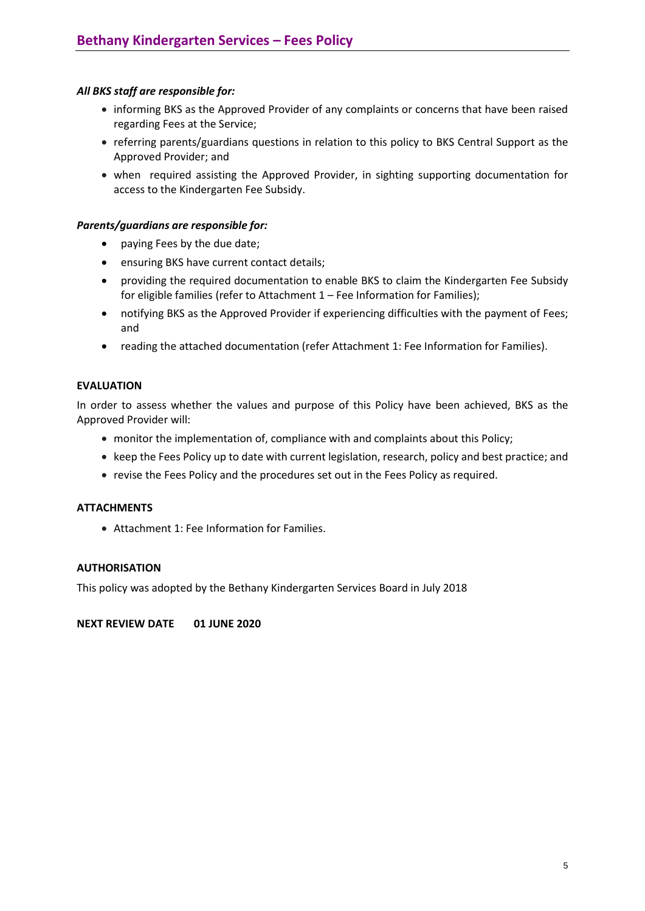# *All BKS staff are responsible for:*

- informing BKS as the Approved Provider of any complaints or concerns that have been raised regarding Fees at the Service;
- referring parents/guardians questions in relation to this policy to BKS Central Support as the Approved Provider; and
- when required assisting the Approved Provider, in sighting supporting documentation for access to the Kindergarten Fee Subsidy.

## *Parents/guardians are responsible for:*

- paying Fees by the due date;
- ensuring BKS have current contact details;
- providing the required documentation to enable BKS to claim the Kindergarten Fee Subsidy for eligible families (refer to Attachment 1 – Fee Information for Families);
- notifying BKS as the Approved Provider if experiencing difficulties with the payment of Fees; and
- reading the attached documentation (refer Attachment 1: Fee Information for Families).

## **EVALUATION**

In order to assess whether the values and purpose of this Policy have been achieved, BKS as the Approved Provider will:

- monitor the implementation of, compliance with and complaints about this Policy;
- keep the Fees Policy up to date with current legislation, research, policy and best practice; and
- revise the Fees Policy and the procedures set out in the Fees Policy as required.

## **ATTACHMENTS**

Attachment 1: Fee Information for Families.

## **AUTHORISATION**

This policy was adopted by the Bethany Kindergarten Services Board in July 2018

**NEXT REVIEW DATE 01 JUNE 2020**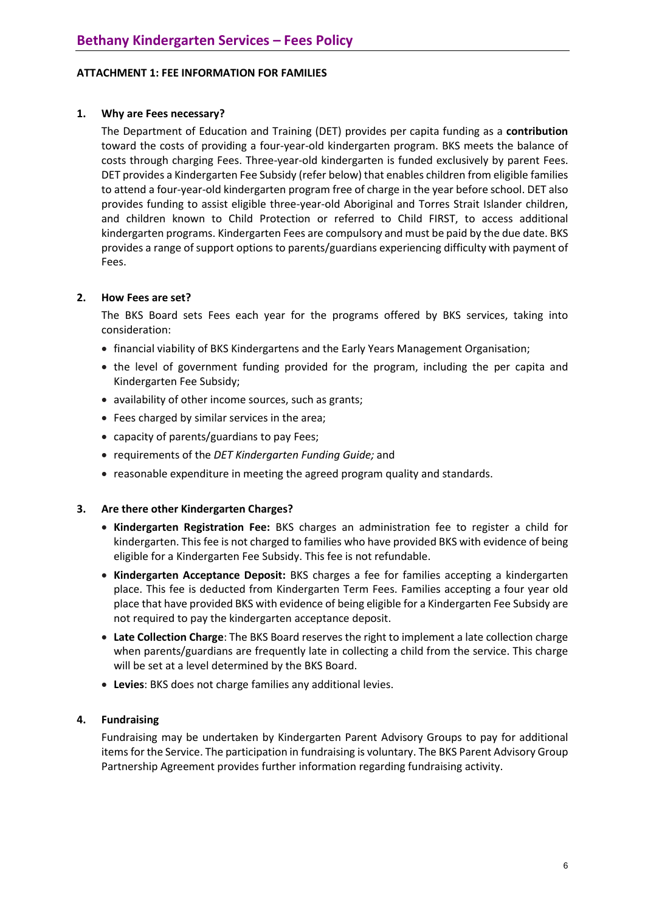## **ATTACHMENT 1: FEE INFORMATION FOR FAMILIES**

## **1. Why are Fees necessary?**

The Department of Education and Training (DET) provides per capita funding as a **contribution**  toward the costs of providing a four-year-old kindergarten program. BKS meets the balance of costs through charging Fees. Three-year-old kindergarten is funded exclusively by parent Fees. DET provides a Kindergarten Fee Subsidy (refer below) that enables children from eligible families to attend a four-year-old kindergarten program free of charge in the year before school. DET also provides funding to assist eligible three-year-old Aboriginal and Torres Strait Islander children, and children known to Child Protection or referred to Child FIRST, to access additional kindergarten programs. Kindergarten Fees are compulsory and must be paid by the due date. BKS provides a range of support options to parents/guardians experiencing difficulty with payment of Fees.

## **2. How Fees are set?**

The BKS Board sets Fees each year for the programs offered by BKS services, taking into consideration:

- financial viability of BKS Kindergartens and the Early Years Management Organisation;
- the level of government funding provided for the program, including the per capita and Kindergarten Fee Subsidy;
- availability of other income sources, such as grants;
- Fees charged by similar services in the area;
- capacity of parents/guardians to pay Fees;
- requirements of the *DET Kindergarten Funding Guide;* and
- reasonable expenditure in meeting the agreed program quality and standards.

## **3. Are there other Kindergarten Charges?**

- **Kindergarten Registration Fee:** BKS charges an administration fee to register a child for kindergarten. This fee is not charged to families who have provided BKS with evidence of being eligible for a Kindergarten Fee Subsidy. This fee is not refundable.
- **Kindergarten Acceptance Deposit:** BKS charges a fee for families accepting a kindergarten place. This fee is deducted from Kindergarten Term Fees. Families accepting a four year old place that have provided BKS with evidence of being eligible for a Kindergarten Fee Subsidy are not required to pay the kindergarten acceptance deposit.
- **Late Collection Charge**: The BKS Board reserves the right to implement a late collection charge when parents/guardians are frequently late in collecting a child from the service. This charge will be set at a level determined by the BKS Board.
- **Levies**: BKS does not charge families any additional levies.

# **4. Fundraising**

Fundraising may be undertaken by Kindergarten Parent Advisory Groups to pay for additional items for the Service. The participation in fundraising is voluntary. The BKS Parent Advisory Group Partnership Agreement provides further information regarding fundraising activity.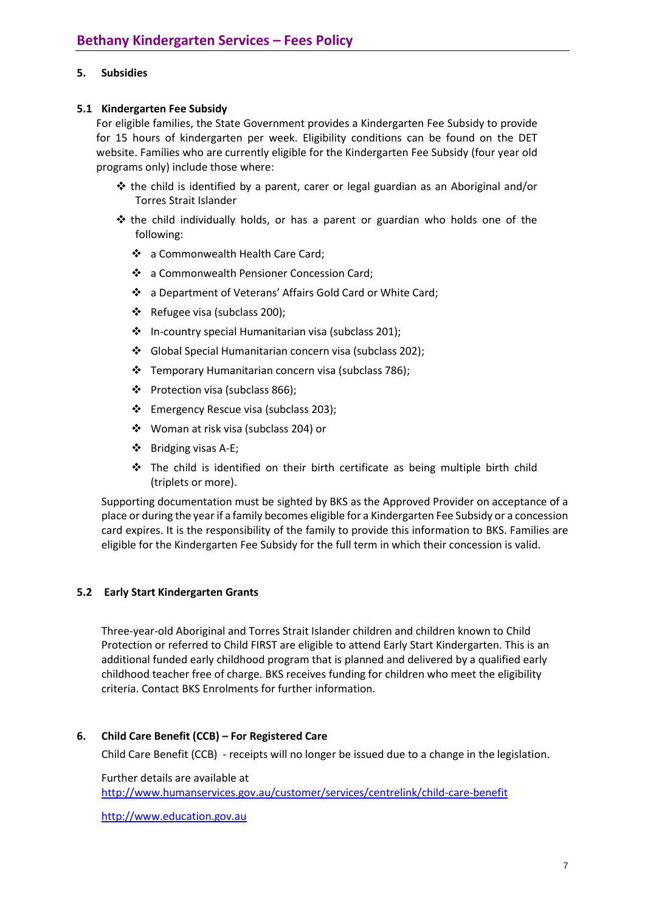## **5. Subsidies**

## **5.1 Kindergarten Fee Subsidy**

For eligible families, the State Government provides a Kindergarten Fee Subsidy to provide for 15 hours of kindergarten per week. Eligibility conditions can be found on the DET website. Families who are currently eligible for the Kindergarten Fee Subsidy (four year old programs only) include those where:

- $\div$  the child is identified by a parent, carer or legal guardian as an Aboriginal and/or Torres Strait Islander
- $\hat{\mathbf{v}}$  the child individually holds, or has a parent or guardian who holds one of the following:
	- a Commonwealth Health Care Card;
	- \* a Commonwealth Pensioner Concession Card;
	- a Department of Veterans' Affairs Gold Card or White Card;
	- \* Refugee visa (subclass 200);
	- In-country special Humanitarian visa (subclass 201);
	- Global Special Humanitarian concern visa (subclass 202);
	- \* Temporary Humanitarian concern visa (subclass 786);
	- Protection visa (subclass 866);
	- Emergency Rescue visa (subclass 203);
	- Woman at risk visa (subclass 204) or
	- $\div$  Bridging visas A-E;
	- $\hat{P}$  The child is identified on their birth certificate as being multiple birth child (triplets or more).

Supporting documentation must be sighted by BKS as the Approved Provider on acceptance of a place or during the year if a family becomes eligible for a Kindergarten Fee Subsidy or a concession card expires. It is the responsibility of the family to provide this information to BKS. Families are eligible for the Kindergarten Fee Subsidy for the full term in which their concession is valid.

## **5.2 Early Start Kindergarten Grants**

Three-year-old Aboriginal and Torres Strait Islander children and children known to Child Protection or referred to Child FIRST are eligible to attend Early Start Kindergarten. This is an additional funded early childhood program that is planned and delivered by a qualified early childhood teacher free of charge. BKS receives funding for children who meet the eligibility criteria. Contact BKS Enrolments for further information.

## **6. Child Care Benefit (CCB) – For Registered Care**

Child Care Benefit (CCB) - receipts will no longer be issued due to a change in the legislation.

Further details are available at <http://www.humanservices.gov.au/customer/services/centrelink/child-care-benefit>

[http://www.education.gov.au](http://www.education.gov.au/)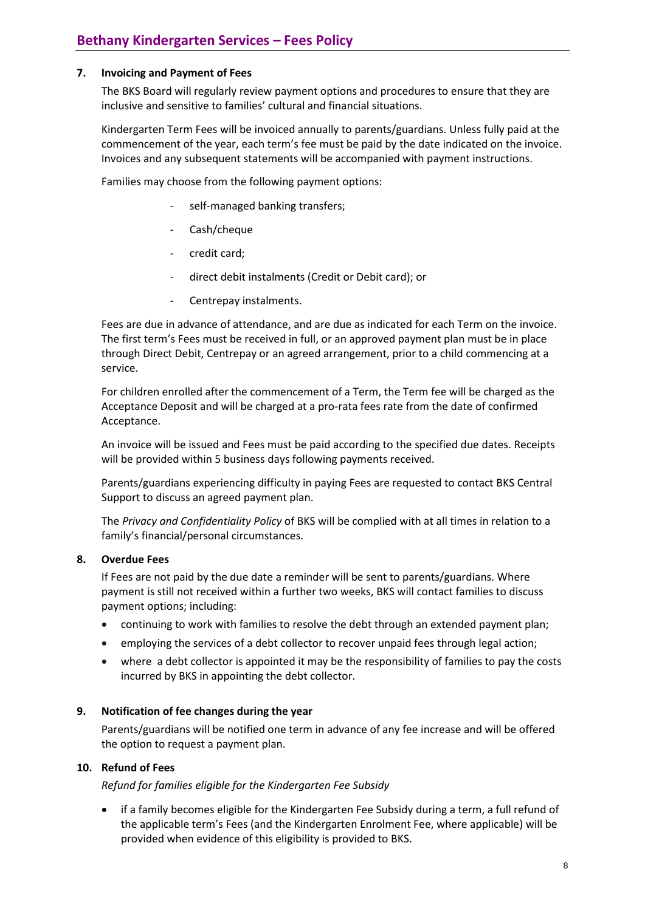## **7. Invoicing and Payment of Fees**

The BKS Board will regularly review payment options and procedures to ensure that they are inclusive and sensitive to families' cultural and financial situations.

Kindergarten Term Fees will be invoiced annually to parents/guardians. Unless fully paid at the commencement of the year, each term's fee must be paid by the date indicated on the invoice. Invoices and any subsequent statements will be accompanied with payment instructions.

Families may choose from the following payment options:

- self-managed banking transfers;
- Cash/cheque
- credit card;
- direct debit instalments (Credit or Debit card); or
- Centrepay instalments.

Fees are due in advance of attendance, and are due as indicated for each Term on the invoice. The first term's Fees must be received in full, or an approved payment plan must be in place through Direct Debit, Centrepay or an agreed arrangement, prior to a child commencing at a service.

For children enrolled after the commencement of a Term, the Term fee will be charged as the Acceptance Deposit and will be charged at a pro-rata fees rate from the date of confirmed Acceptance.

An invoice will be issued and Fees must be paid according to the specified due dates. Receipts will be provided within 5 business days following payments received.

Parents/guardians experiencing difficulty in paying Fees are requested to contact BKS Central Support to discuss an agreed payment plan.

The *Privacy and Confidentiality Policy* of BKS will be complied with at all times in relation to a family's financial/personal circumstances.

## **8. Overdue Fees**

If Fees are not paid by the due date a reminder will be sent to parents/guardians. Where payment is still not received within a further two weeks, BKS will contact families to discuss payment options; including:

- continuing to work with families to resolve the debt through an extended payment plan;
- employing the services of a debt collector to recover unpaid fees through legal action;
- where a debt collector is appointed it may be the responsibility of families to pay the costs incurred by BKS in appointing the debt collector.

## **9. Notification of fee changes during the year**

Parents/guardians will be notified one term in advance of any fee increase and will be offered the option to request a payment plan.

# **10. Refund of Fees**

*Refund for families eligible for the Kindergarten Fee Subsidy*

 if a family becomes eligible for the Kindergarten Fee Subsidy during a term, a full refund of the applicable term's Fees (and the Kindergarten Enrolment Fee, where applicable) will be provided when evidence of this eligibility is provided to BKS.